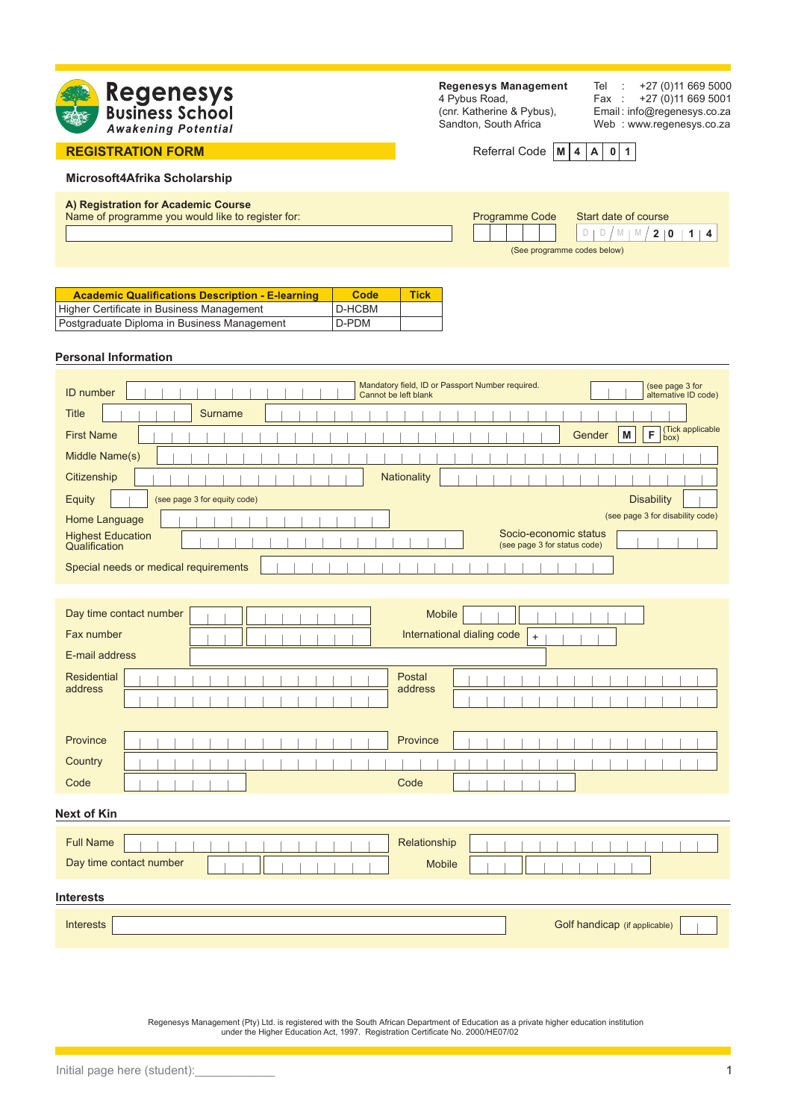

### **REGISTRATION FORM**

**Regenesys Management** 4 Pybus Road, (cnr. Katherine & Pybus), Sandton, South Africa

Tel : +27 (0)11 669 5000<br>Fax : +27 (0)11 669 5001 +27 (0)11 669 5001 Email : info@regenesys.co.za Web : www.regenesys.co.za

Referral Code  $|M|$  4  $|A|$  0 1

### **Microsoft4Afrika Scholarship**

#### **A) Registration for Academic Course**

| A) Registration for Academic Course<br>Name of programme you would like to register for: |                             |  |  |  |  |  | <b>Programme Code</b> Start date of course |  |  |  |
|------------------------------------------------------------------------------------------|-----------------------------|--|--|--|--|--|--------------------------------------------|--|--|--|
|                                                                                          |                             |  |  |  |  |  |                                            |  |  |  |
|                                                                                          | (See programme codes below) |  |  |  |  |  |                                            |  |  |  |

| <b>Academic Qualifications Description - E-learning</b> | Code   | <b>Tick</b> |
|---------------------------------------------------------|--------|-------------|
| Higher Certificate in Business Management               | D-HCBM |             |
| Postgraduate Diploma in Business Management             | D-PDM  |             |

#### **Personal Information**

| Mandatory field, ID or Passport Number required.<br>(see page 3 for<br><b>ID</b> number<br>alternative ID code)<br>Cannot be left blank |
|-----------------------------------------------------------------------------------------------------------------------------------------|
| <b>Title</b><br>Surname                                                                                                                 |
| (Tick applicable<br>box)<br>F<br>M<br><b>First Name</b><br>Gender                                                                       |
| Middle Name(s)                                                                                                                          |
| Nationality<br>Citizenship                                                                                                              |
| <b>Disability</b><br>Equity<br>(see page 3 for equity code)                                                                             |
| (see page 3 for disability code)<br>Home Language                                                                                       |
| Socio-economic status<br><b>Highest Education</b><br>(see page 3 for status code)<br>Qualification                                      |
| Special needs or medical requirements                                                                                                   |
|                                                                                                                                         |
| Day time contact number<br><b>Mobile</b>                                                                                                |
| International dialing code<br>Fax number<br>$+$                                                                                         |
| E-mail address                                                                                                                          |
| <b>Residential</b><br>Postal<br>address<br>address                                                                                      |

| Province   |  |  |  |  |  |  | Province |  |  |  |  |  |  |  |
|------------|--|--|--|--|--|--|----------|--|--|--|--|--|--|--|
| Country    |  |  |  |  |  |  |          |  |  |  |  |  |  |  |
| Code       |  |  |  |  |  |  | Code     |  |  |  |  |  |  |  |
| ext of Kin |  |  |  |  |  |  |          |  |  |  |  |  |  |  |

# Full Name Relationship Day time contact number **Interests Interests** Golf handicap (if applicable) Mobile

Regenesys Management (Pty) Ltd. is registered with the South African Department of Education as a private higher education institution under the Higher Education Act, 1997. Registration Certificate No. 2000/HE07/02

**Next of Kin**

- 1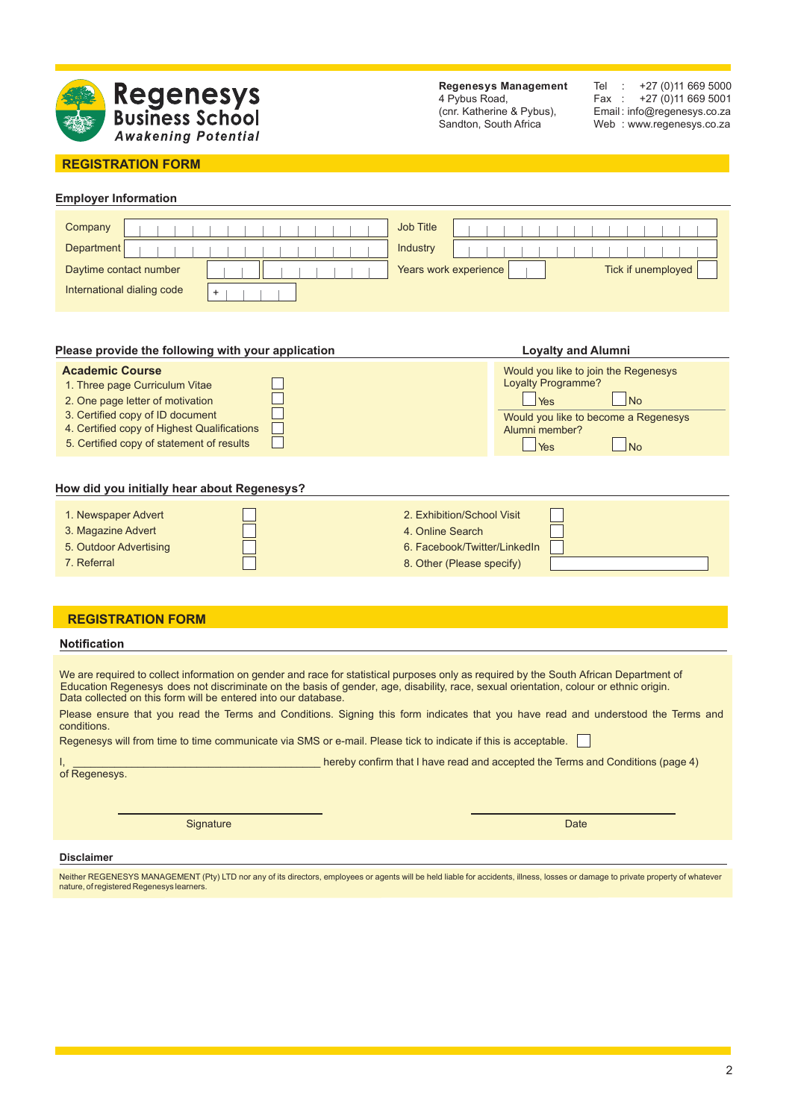

**Regenesys Management** 4 Pybus Road, (cnr. Katherine & Pybus), Sandton, South Africa

Tel : +27 (0)11 669 5000 Fax : +27 (0)11 669 5001 Email : info@regenesys.co.za Web : www.regenesys.co.za

## **REGISTRATION FORM**

# **Employer Information**

| Company                    | Job Title             |                    |
|----------------------------|-----------------------|--------------------|
| Department                 | Industry              |                    |
| Daytime contact number     | Years work experience | Tick if unemployed |
| International dialing code |                       |                    |

| Please provide the following with your application                                                                                                                                                                           | <b>Loyalty and Alumni</b>                                                                                                                                                |
|------------------------------------------------------------------------------------------------------------------------------------------------------------------------------------------------------------------------------|--------------------------------------------------------------------------------------------------------------------------------------------------------------------------|
| <b>Academic Course</b><br>1. Three page Curriculum Vitae<br>2. One page letter of motivation<br>3. Certified copy of ID document<br>4. Certified copy of Highest Qualifications<br>5. Certified copy of statement of results | Would you like to join the Regenesys<br><b>Loyalty Programme?</b><br>N <sub>o</sub><br>Yes<br>Would you like to become a Regenesys<br>Alumni member?<br>No<br><b>Yes</b> |
|                                                                                                                                                                                                                              |                                                                                                                                                                          |

## **How did you initially hear about Regenesys?**

| 1. Newspaper Advert    | 2. Exhibition/School Visit   |  |
|------------------------|------------------------------|--|
| 3. Magazine Advert     | 4. Online Search             |  |
| 5. Outdoor Advertising | 6. Facebook/Twitter/LinkedIn |  |
| 7. Referral            | 8. Other (Please specify)    |  |

### **REGISTRATION FORM**

#### **Notification**

We are required to collect information on gender and race for statistical purposes only as required by the South African Department of Education Regenesys does not discriminate on the basis of gender, age, disability, race, sexual orientation, colour or ethnic origin. Data collected on this form will be entered into our database.

Please ensure that you read the Terms and Conditions. Signing this form indicates that you have read and understood the Terms and conditions.

Regenesys will from time to time communicate via SMS or e-mail. Please tick to indicate if this is acceptable.

 $I$  hereby confirm that I have read and accepted the Terms and Conditions (page 4)

of Regenesys.

Signature Date Communication of the Communication of the Communication of the Date

#### **Disclaimer**

Neither REGENESYS MANAGEMENT (Pty) LTD nor any of its directors, employees or agents will be held liable for accidents, illness, losses or damage to private property of whatever nature, of registered Regenesys learners.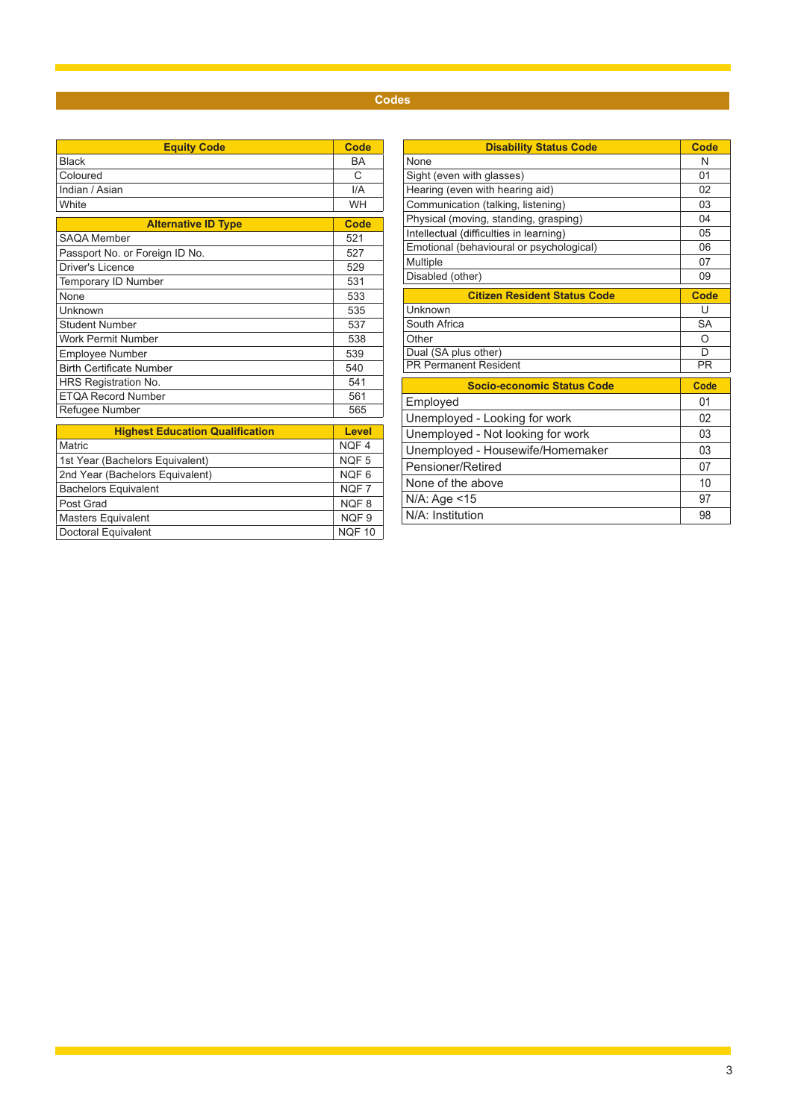# **Codes**

| <b>Equity Code</b>                          | Code            |
|---------------------------------------------|-----------------|
| <b>Black</b>                                | BA              |
| Coloured                                    | C               |
| Indian / Asian                              | I/A             |
| White                                       | <b>WH</b>       |
| <b>Alternative ID Type</b>                  | <b>Code</b>     |
| <b>SAQA Member</b>                          | 521             |
| Passport No. or Foreign ID No.              | 527             |
| Driver's Licence                            | 529             |
| <b>Temporary ID Number</b>                  | 531             |
| None                                        | 533             |
| Unknown                                     | 535             |
| <b>Student Number</b>                       | 537             |
| Work Permit Number                          | 538             |
| Employee Number                             | 539             |
| <b>Birth Certificate Number</b>             | 540             |
| HRS Registration No.                        | 541             |
| <b>ETQA Record Number</b>                   | 561             |
| Refugee Number                              | 565             |
|                                             |                 |
| <b>Highest Education Qualification</b><br>M | Level<br>NIOT A |

| Lever            |
|------------------|
| NOF <sub>4</sub> |
| NQF <sub>5</sub> |
| NQF6             |
| NOF <sub>7</sub> |
| NOF <sub>8</sub> |
| NOF <sub>9</sub> |
| <b>NQF 10</b>    |
|                  |

| <b>Disability Status Code</b>            | Code           |
|------------------------------------------|----------------|
| None                                     | N              |
| Sight (even with glasses)                | 01             |
| Hearing (even with hearing aid)          | 02             |
| Communication (talking, listening)       | 03             |
| Physical (moving, standing, grasping)    | 04             |
| Intellectual (difficulties in learning)  | 0 <sub>5</sub> |
| Emotional (behavioural or psychological) | 06             |
| Multiple                                 | 07             |
| Disabled (other)                         | 09             |
| <b>Citizen Resident Status Code</b>      | Code           |
| Unknown                                  | U              |
| South Africa                             | <b>SA</b>      |
| Other                                    | $\Omega$       |
| Dual (SA plus other)                     | D              |
| <b>PR Permanent Resident</b>             | <b>PR</b>      |
| <b>Socio-economic Status Code</b>        | Code           |
| Employed                                 | 01             |
| Unemployed - Looking for work            | 02             |
| Unemployed - Not looking for work        | 03             |
| Unemployed - Housewife/Homemaker         | 03             |
| Pensioner/Retired                        | 07             |
| None of the above                        | 10             |
| N/A: Age <15                             | 97             |
| N/A: Institution                         | 98             |